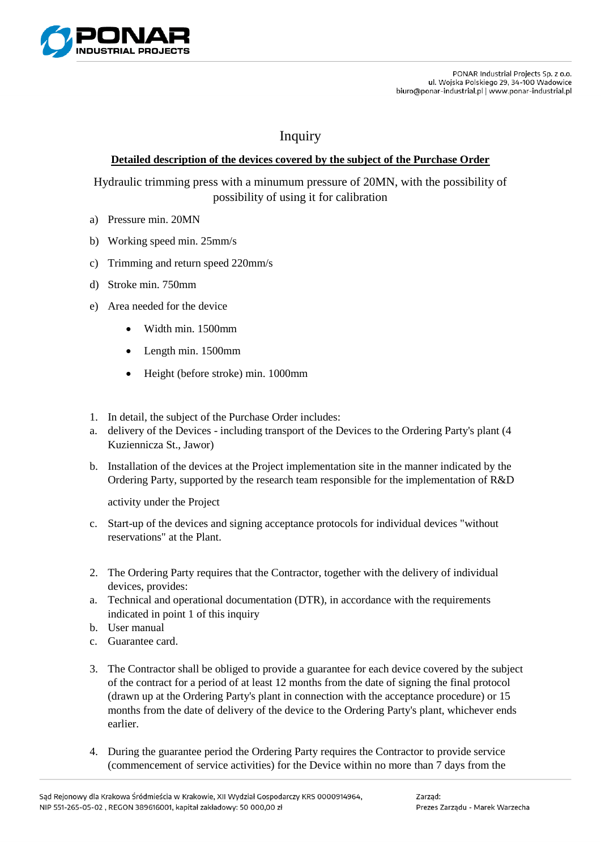

## Inquiry

## **Detailed description of the devices covered by the subject of the Purchase Order**

Hydraulic trimming press with a minumum pressure of 20MN, with the possibility of possibility of using it for calibration

- a) Pressure min. 20MN
- b) Working speed min. 25mm/s
- c) Trimming and return speed 220mm/s
- d) Stroke min. 750mm
- e) Area needed for the device
	- Width min. 1500mm
	- Length min. 1500mm
	- Height (before stroke) min. 1000mm
- 1. In detail, the subject of the Purchase Order includes:
- a. delivery of the Devices including transport of the Devices to the Ordering Party's plant (4 Kuziennicza St., Jawor)
- b. Installation of the devices at the Project implementation site in the manner indicated by the Ordering Party, supported by the research team responsible for the implementation of R&D

activity under the Project

- c. Start-up of the devices and signing acceptance protocols for individual devices "without reservations" at the Plant.
- 2. The Ordering Party requires that the Contractor, together with the delivery of individual devices, provides:
- a. Technical and operational documentation (DTR), in accordance with the requirements indicated in point 1 of this inquiry
- b. User manual
- c. Guarantee card.
- 3. The Contractor shall be obliged to provide a guarantee for each device covered by the subject of the contract for a period of at least 12 months from the date of signing the final protocol (drawn up at the Ordering Party's plant in connection with the acceptance procedure) or 15 months from the date of delivery of the device to the Ordering Party's plant, whichever ends earlier.
- 4. During the guarantee period the Ordering Party requires the Contractor to provide service (commencement of service activities) for the Device within no more than 7 days from the